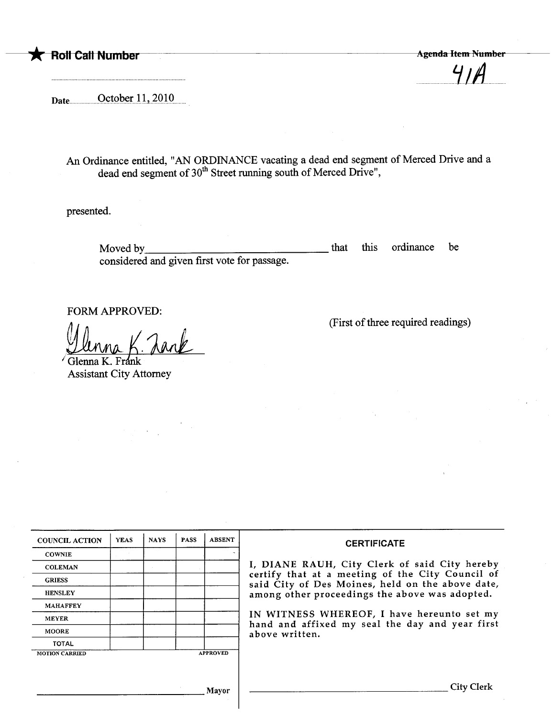

n...n.nn.n.LJiAnn.nn.nn

Date .nnn..nQ.çtQPtrnl,l'n7.Q1Qn.n.n

An Ordinance entitled, "AN ORDINANCE vacating a dead end segment of Merced Drive and a dead end segment of  $30<sup>th</sup>$  Street running south of Merced Drive",

presented.

Moved by considered and given first vote for passage. that this ordinance be

FORM APPROVED:

(First of thee required readings)

<u>Ulinna K. Tank</u><br>Glenna K. Frank<br>Assistant City Attorney

| <b>COUNCIL ACTION</b> | <b>YEAS</b> | <b>NAYS</b> | <b>PASS</b> | <b>ABSENT</b>   | <b>CERTIFICATE</b>                                                                                                                                                                                                                                                                                                         |
|-----------------------|-------------|-------------|-------------|-----------------|----------------------------------------------------------------------------------------------------------------------------------------------------------------------------------------------------------------------------------------------------------------------------------------------------------------------------|
| <b>COWNIE</b>         |             |             |             |                 |                                                                                                                                                                                                                                                                                                                            |
| <b>COLEMAN</b>        |             |             |             |                 | I, DIANE RAUH, City Clerk of said City hereby<br>certify that at a meeting of the City Council of<br>said City of Des Moines, held on the above date,<br>among other proceedings the above was adopted.<br>IN WITNESS WHEREOF, I have hereunto set my<br>hand and affixed my seal the day and year first<br>above written. |
| <b>GRIESS</b>         |             |             |             |                 |                                                                                                                                                                                                                                                                                                                            |
| <b>HENSLEY</b>        |             |             |             |                 |                                                                                                                                                                                                                                                                                                                            |
| <b>MAHAFFEY</b>       |             |             |             |                 |                                                                                                                                                                                                                                                                                                                            |
| <b>MEYER</b>          |             |             |             |                 |                                                                                                                                                                                                                                                                                                                            |
| <b>MOORE</b>          |             |             |             |                 |                                                                                                                                                                                                                                                                                                                            |
| <b>TOTAL</b>          |             |             |             |                 |                                                                                                                                                                                                                                                                                                                            |
| <b>MOTION CARRIED</b> |             |             |             | <b>APPROVED</b> |                                                                                                                                                                                                                                                                                                                            |
|                       |             |             |             |                 |                                                                                                                                                                                                                                                                                                                            |
|                       |             |             |             |                 |                                                                                                                                                                                                                                                                                                                            |
|                       |             |             |             | Mavor           | City Clerk                                                                                                                                                                                                                                                                                                                 |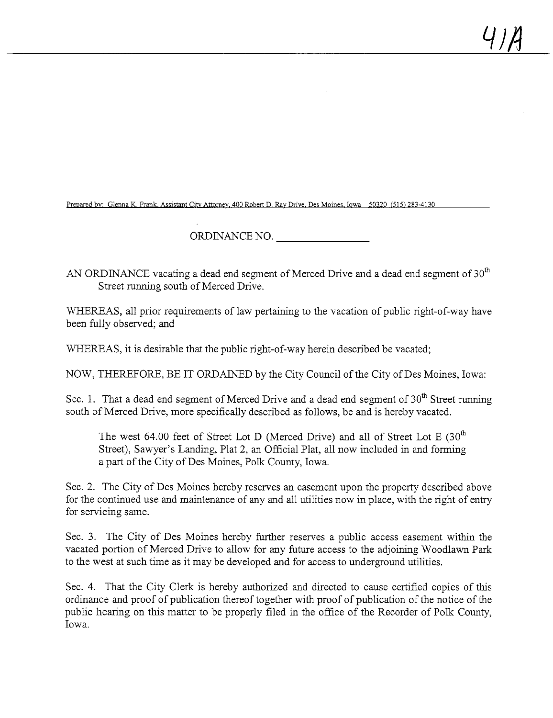Prepared by: Glenna K. Frank, Assistant City Attorney, 400 Robert D. Ray Drive. Des Moines, Iowa 50320 (515) 283-4130

ORDINANCE NO.

AN ORDINANCE vacating a dead end segment of Merced Drive and a dead end segment of  $30<sup>th</sup>$ Street running south of Merced Drive.

WHEREAS, all prior requirements of law pertaining to the vacation of public right-of-way have been fully observed; and

WHEREAS, it is desirable that the public right-of-way herein described be vacated;

NOW, THEREFORE, BE IT ORDAINED by the City Council of the City of Des Moines, Iowa:

Sec. 1. That a dead end segment of Merced Drive and a dead end segment of  $30<sup>th</sup>$  Street running south of Merced Drive, more specifically described as follows, be and is hereby vacated.

The west 64.00 feet of Street Lot D (Merced Drive) and all of Street Lot E  $(30<sup>th</sup>$ Street), Sawyer's Landing, Plat 2, an Official Plat, all now included in and forming a part of the City of Des Moines, Polk County, Iowa.

Sec. 2. The City of Des Moines hereby reserves an easement upon the property described above for the continued use and maintenance of any and all utilities now in place, with the right of entry for servicing same.

Sec. 3. The City of Des Moines hereby further reserves a public access easement within the vacated portion of Merced Drive to allow for any futue access to the adjoing Woodlawn Park to the west at such time as it may be developed and for access to underground utilities.

Sec. 4. That the City Clerk is hereby authorized and directed to cause certified copies of this ordinance and proof of publication thereof together with proof of publication of the notice of the public hearng on this matter to be properly filed in the office of the Recorder of Polk County, Iowa.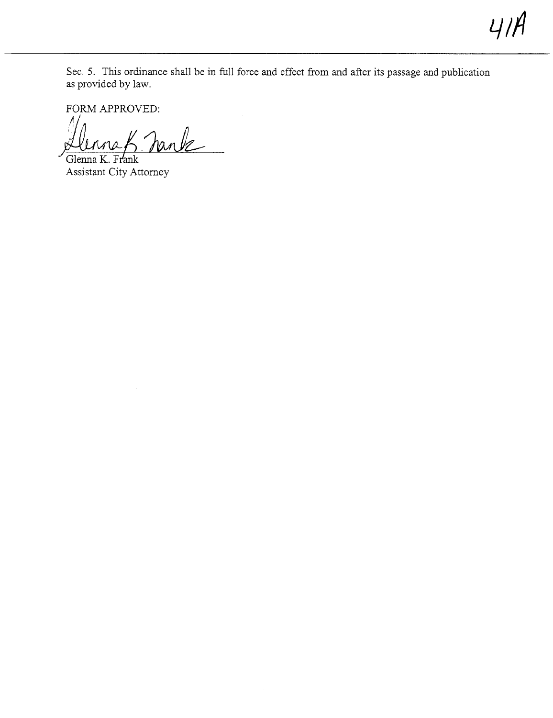Sec. 5. This ordinance shall be in full force and effect from and after its passage and publication as provided by law.

 $41A$ 

FORM APPROVED:<br>Llonna K. Jank

Glenna K. Frank Assistant City Attorney